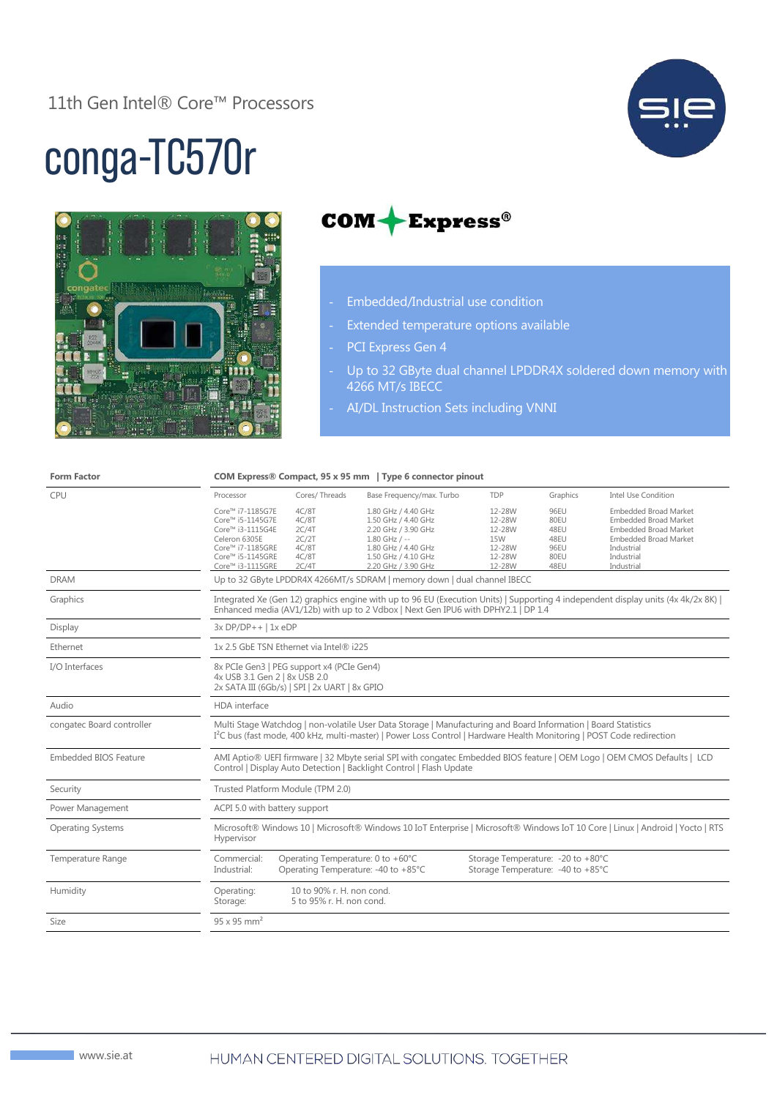

## conga-TC570r





- Embedded/Industrial use condition
- Extended temperature options available
- PCI Express Gen 4
- Up to 32 GByte dual channel LPDDR4X soldered down memory with 4266 MT/s IBECC
- AI/DL Instruction Sets including VNNI

| <b>Form Factor</b>           |                                                                                                                                                                                                                                                     | COM Express® Compact, 95 x 95 mm   Type 6 connector pinout  |                                                                                                                                                           |                                                                        |                                                      |                                                                                                                                                                        |  |
|------------------------------|-----------------------------------------------------------------------------------------------------------------------------------------------------------------------------------------------------------------------------------------------------|-------------------------------------------------------------|-----------------------------------------------------------------------------------------------------------------------------------------------------------|------------------------------------------------------------------------|------------------------------------------------------|------------------------------------------------------------------------------------------------------------------------------------------------------------------------|--|
| CPU                          | Processor                                                                                                                                                                                                                                           | Cores/Threads                                               | Base Frequency/max. Turbo                                                                                                                                 | <b>TDP</b>                                                             | Graphics                                             | <b>Intel Use Condition</b>                                                                                                                                             |  |
|                              | Core™ i7-1185G7E<br>Core™ i5-1145G7E<br>Core™ i3-1115G4E<br>Celeron 6305E<br>Core™ i7-1185GRE<br>Core™ i5-1145GRE<br>Core™ i3-1115GRE                                                                                                               | 4C/8T<br>4C/8T<br>2C/4T<br>2C/2T<br>4C/8T<br>4C/8T<br>2C/4T | 1.80 GHz / 4.40 GHz<br>1.50 GHz / 4.40 GHz<br>2.20 GHz / 3.90 GHz<br>$1.80$ GHz / --<br>1.80 GHz / 4.40 GHz<br>1.50 GHz / 4.10 GHz<br>2.20 GHz / 3.90 GHz | 12-28W<br>12-28W<br>12-28W<br><b>15W</b><br>12-28W<br>12-28W<br>12-28W | 96EU<br>80EU<br>48EU<br>48EU<br>96EU<br>80EU<br>48EU | <b>Embedded Broad Market</b><br><b>Embedded Broad Market</b><br><b>Embedded Broad Market</b><br><b>Embedded Broad Market</b><br>Industrial<br>Industrial<br>Industrial |  |
| <b>DRAM</b>                  | Up to 32 GByte LPDDR4X 4266MT/s SDRAM   memory down   dual channel IBECC                                                                                                                                                                            |                                                             |                                                                                                                                                           |                                                                        |                                                      |                                                                                                                                                                        |  |
| Graphics                     | Integrated Xe (Gen 12) graphics engine with up to 96 EU (Execution Units)   Supporting 4 independent display units (4x 4k/2x 8K)  <br>Enhanced media (AV1/12b) with up to 2 Vdbox   Next Gen IPU6 with DPHY2.1   DP 1.4                             |                                                             |                                                                                                                                                           |                                                                        |                                                      |                                                                                                                                                                        |  |
| Display                      | $3x DP/DP++$   1x eDP                                                                                                                                                                                                                               |                                                             |                                                                                                                                                           |                                                                        |                                                      |                                                                                                                                                                        |  |
| Ethernet                     | 1x 2.5 GbE TSN Ethernet via Intel® i225                                                                                                                                                                                                             |                                                             |                                                                                                                                                           |                                                                        |                                                      |                                                                                                                                                                        |  |
| I/O Interfaces               | 8x PCIe Gen3   PEG support x4 (PCIe Gen4)<br>4x USB 3.1 Gen 2   8x USB 2.0<br>2x SATA III (6Gb/s)   SPI   2x UART   8x GPIO                                                                                                                         |                                                             |                                                                                                                                                           |                                                                        |                                                      |                                                                                                                                                                        |  |
| Audio                        | HDA interface                                                                                                                                                                                                                                       |                                                             |                                                                                                                                                           |                                                                        |                                                      |                                                                                                                                                                        |  |
| congatec Board controller    | Multi Stage Watchdog   non-volatile User Data Storage   Manufacturing and Board Information   Board Statistics<br>I <sup>2</sup> C bus (fast mode, 400 kHz, multi-master)   Power Loss Control   Hardware Health Monitoring   POST Code redirection |                                                             |                                                                                                                                                           |                                                                        |                                                      |                                                                                                                                                                        |  |
| <b>Embedded BIOS Feature</b> | AMI Aptio® UEFI firmware   32 Mbyte serial SPI with congatec Embedded BIOS feature   OEM Logo   OEM CMOS Defaults   LCD<br>Control   Display Auto Detection   Backlight Control   Flash Update                                                      |                                                             |                                                                                                                                                           |                                                                        |                                                      |                                                                                                                                                                        |  |
| Security                     | Trusted Platform Module (TPM 2.0)                                                                                                                                                                                                                   |                                                             |                                                                                                                                                           |                                                                        |                                                      |                                                                                                                                                                        |  |
| Power Management             | ACPI 5.0 with battery support                                                                                                                                                                                                                       |                                                             |                                                                                                                                                           |                                                                        |                                                      |                                                                                                                                                                        |  |
| <b>Operating Systems</b>     | Microsoft® Windows 10   Microsoft® Windows 10 IoT Enterprise   Microsoft® Windows IoT 10 Core   Linux   Android   Yocto   RTS<br>Hypervisor                                                                                                         |                                                             |                                                                                                                                                           |                                                                        |                                                      |                                                                                                                                                                        |  |
| Temperature Range            | Commercial:<br>Industrial:                                                                                                                                                                                                                          | Operating Temperature: 0 to +60°C                           | Operating Temperature: -40 to +85°C                                                                                                                       | Storage Temperature: -20 to +80°C<br>Storage Temperature: -40 to +85°C |                                                      |                                                                                                                                                                        |  |
| Humidity                     | Operating:<br>Storage:                                                                                                                                                                                                                              | 10 to 90% r. H. non cond.<br>5 to 95% r. H. non cond.       |                                                                                                                                                           |                                                                        |                                                      |                                                                                                                                                                        |  |
| Size                         | $95 \times 95$ mm <sup>2</sup>                                                                                                                                                                                                                      |                                                             |                                                                                                                                                           |                                                                        |                                                      |                                                                                                                                                                        |  |
|                              |                                                                                                                                                                                                                                                     |                                                             |                                                                                                                                                           |                                                                        |                                                      |                                                                                                                                                                        |  |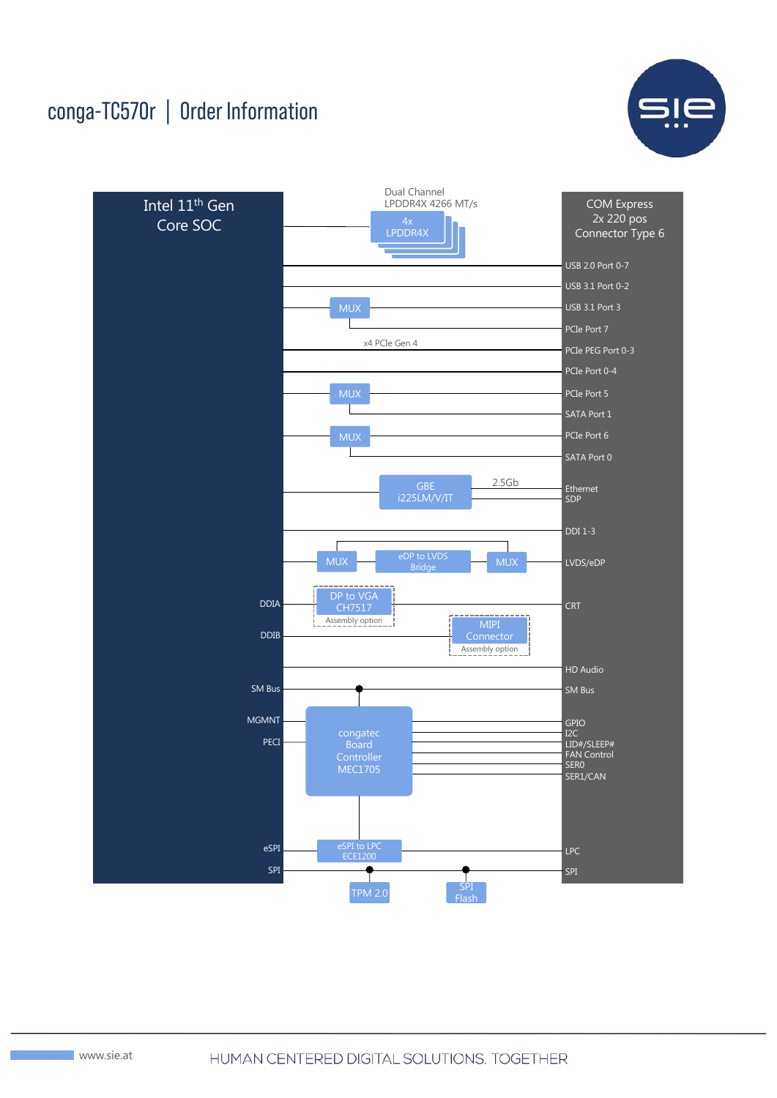## conga-TC570r | Order Information